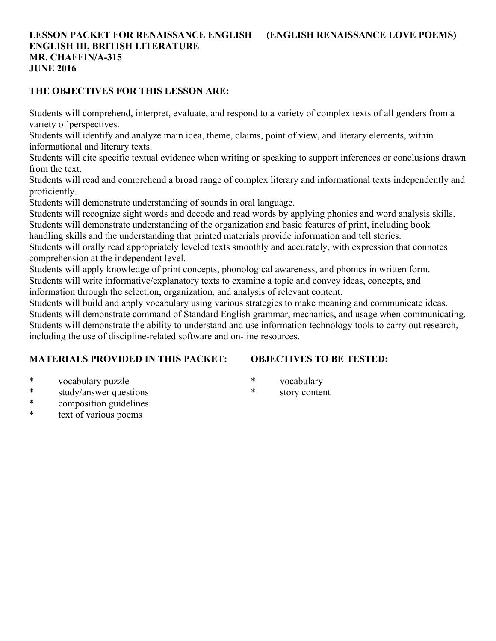## **LESSON PACKET FOR RENAISSANCE ENGLISH (ENGLISH RENAISSANCE LOVE POEMS) ENGLISH III, BRITISH LITERATURE MR. CHAFFIN/A-315 JUNE 2016**

## **THE OBJECTIVES FOR THIS LESSON ARE:**

Students will comprehend, interpret, evaluate, and respond to a variety of complex texts of all genders from a variety of perspectives.

Students will identify and analyze main idea, theme, claims, point of view, and literary elements, within informational and literary texts.

Students will cite specific textual evidence when writing or speaking to support inferences or conclusions drawn from the text.

Students will read and comprehend a broad range of complex literary and informational texts independently and proficiently.

Students will demonstrate understanding of sounds in oral language.

Students will recognize sight words and decode and read words by applying phonics and word analysis skills. Students will demonstrate understanding of the organization and basic features of print, including book

handling skills and the understanding that printed materials provide information and tell stories.

Students will orally read appropriately leveled texts smoothly and accurately, with expression that connotes comprehension at the independent level.

Students will apply knowledge of print concepts, phonological awareness, and phonics in written form. Students will write informative/explanatory texts to examine a topic and convey ideas, concepts, and

information through the selection, organization, and analysis of relevant content.

Students will build and apply vocabulary using various strategies to make meaning and communicate ideas. Students will demonstrate command of Standard English grammar, mechanics, and usage when communicating. Students will demonstrate the ability to understand and use information technology tools to carry out research, including the use of discipline-related software and on-line resources.

# **MATERIALS PROVIDED IN THIS PACKET:**

# **OBJECTIVES TO BE TESTED:**

- \* vocabulary puzzle
- \* study/answer questions
- \* composition guidelines
- text of various poems
- \* vocabulary
- \* story content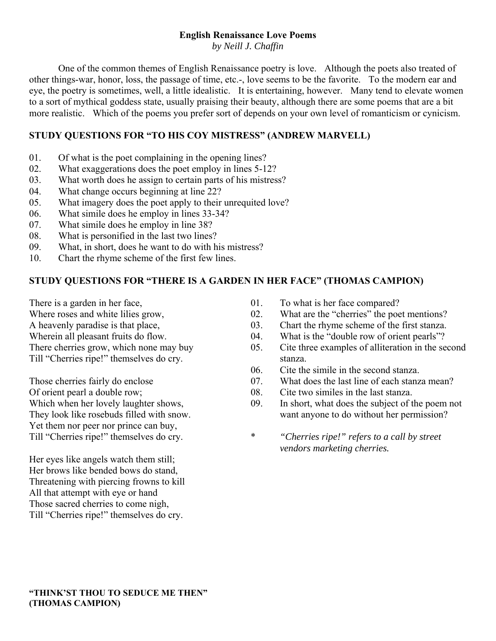# **English Renaissance Love Poems**

*by Neill J. Chaffin*

 One of the common themes of English Renaissance poetry is love. Although the poets also treated of other things-war, honor, loss, the passage of time, etc.-, love seems to be the favorite. To the modern ear and eye, the poetry is sometimes, well, a little idealistic. It is entertaining, however. Many tend to elevate women to a sort of mythical goddess state, usually praising their beauty, although there are some poems that are a bit more realistic. Which of the poems you prefer sort of depends on your own level of romanticism or cynicism.

## **STUDY QUESTIONS FOR "TO HIS COY MISTRESS" (ANDREW MARVELL)**

- 01. Of what is the poet complaining in the opening lines?
- 02. What exaggerations does the poet employ in lines 5-12?
- 03. What worth does he assign to certain parts of his mistress?
- 04. What change occurs beginning at line 22?
- 05. What imagery does the poet apply to their unrequited love?
- 06. What simile does he employ in lines 33-34?
- 07. What simile does he employ in line 38?
- 08. What is personified in the last two lines?
- 09. What, in short, does he want to do with his mistress?
- 10. Chart the rhyme scheme of the first few lines.

## **STUDY QUESTIONS FOR "THERE IS A GARDEN IN HER FACE" (THOMAS CAMPION)**

There is a garden in her face,

Where roses and white lilies grow,

A heavenly paradise is that place,

Wherein all pleasant fruits do flow.

There cherries grow, which none may buy Till "Cherries ripe!" themselves do cry.

Those cherries fairly do enclose Of orient pearl a double row; Which when her lovely laughter shows, They look like rosebuds filled with snow. Yet them nor peer nor prince can buy, Till "Cherries ripe!" themselves do cry.

Her eyes like angels watch them still; Her brows like bended bows do stand, Threatening with piercing frowns to kill All that attempt with eye or hand Those sacred cherries to come nigh, Till "Cherries ripe!" themselves do cry.

- 01. To what is her face compared?
- 02. What are the "cherries" the poet mentions?
- 03. Chart the rhyme scheme of the first stanza.
- 04. What is the "double row of orient pearls"?
- 05. Cite three examples of alliteration in the second stanza.
- 06. Cite the simile in the second stanza.
- 07. What does the last line of each stanza mean?
- 08. Cite two similes in the last stanza.
- 09. In short, what does the subject of the poem not want anyone to do without her permission?
- \* *"Cherries ripe!" refers to a call by street vendors marketing cherries.*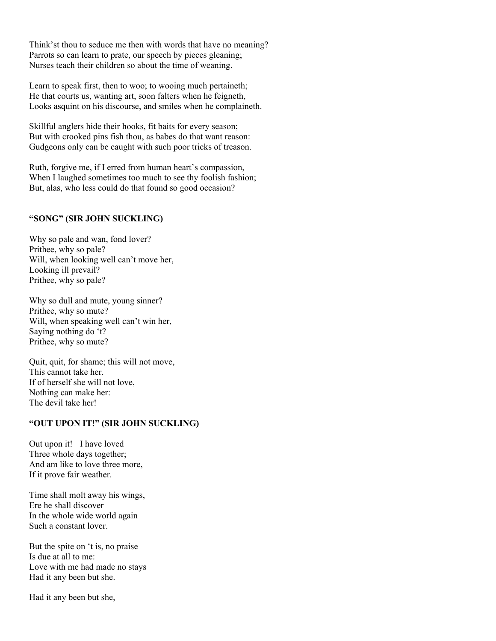Think'st thou to seduce me then with words that have no meaning? Parrots so can learn to prate, our speech by pieces gleaning; Nurses teach their children so about the time of weaning.

Learn to speak first, then to woo; to wooing much pertaineth; He that courts us, wanting art, soon falters when he feigneth, Looks asquint on his discourse, and smiles when he complaineth.

Skillful anglers hide their hooks, fit baits for every season; But with crooked pins fish thou, as babes do that want reason: Gudgeons only can be caught with such poor tricks of treason.

Ruth, forgive me, if I erred from human heart's compassion, When I laughed sometimes too much to see thy foolish fashion; But, alas, who less could do that found so good occasion?

#### **"SONG" (SIR JOHN SUCKLING)**

Why so pale and wan, fond lover? Prithee, why so pale? Will, when looking well can't move her, Looking ill prevail? Prithee, why so pale?

Why so dull and mute, young sinner? Prithee, why so mute? Will, when speaking well can't win her, Saying nothing do 't? Prithee, why so mute?

Quit, quit, for shame; this will not move, This cannot take her. If of herself she will not love, Nothing can make her: The devil take her!

### **"OUT UPON IT!" (SIR JOHN SUCKLING)**

Out upon it! I have loved Three whole days together; And am like to love three more, If it prove fair weather.

Time shall molt away his wings, Ere he shall discover In the whole wide world again Such a constant lover.

But the spite on 't is, no praise Is due at all to me: Love with me had made no stays Had it any been but she.

Had it any been but she,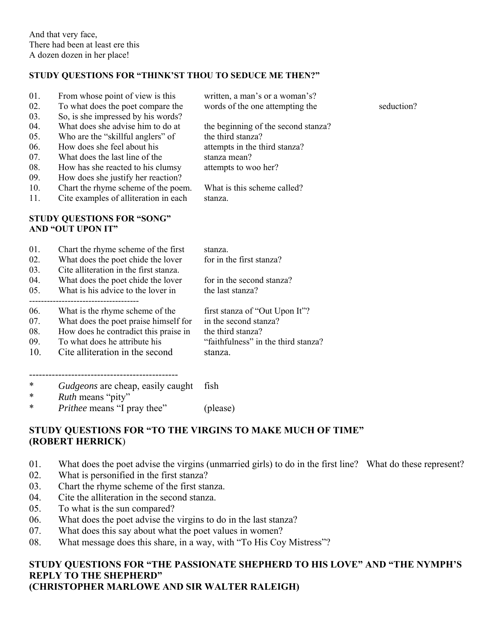### **STUDY QUESTIONS FOR "THINK'ST THOU TO SEDUCE ME THEN?"**

| 01.<br>02.<br>03.                                             | From whose point of view is this<br>To what does the poet compare the<br>So, is she impressed by his words?                                                                           | written, a man's or a woman's?<br>words of the one attempting the                                                                 | seduction? |
|---------------------------------------------------------------|---------------------------------------------------------------------------------------------------------------------------------------------------------------------------------------|-----------------------------------------------------------------------------------------------------------------------------------|------------|
| 04.<br>05.<br>06.<br>07.<br>08.                               | What does she advise him to do at<br>Who are the "skillful anglers" of<br>How does she feel about his<br>What does the last line of the<br>How has she reacted to his clumsy          | the beginning of the second stanza?<br>the third stanza?<br>attempts in the third stanza?<br>stanza mean?<br>attempts to woo her? |            |
| 09.<br>10.<br>11.                                             | How does she justify her reaction?<br>Chart the rhyme scheme of the poem.<br>Cite examples of alliteration in each                                                                    | What is this scheme called?<br>stanza.                                                                                            |            |
| <b>STUDY QUESTIONS FOR "SONG"</b><br><b>AND "OUT UPON IT"</b> |                                                                                                                                                                                       |                                                                                                                                   |            |
| 01.<br>02.<br>03.                                             | Chart the rhyme scheme of the first<br>What does the poet chide the lover<br>Cite alliteration in the first stanza.                                                                   | stanza.<br>for in the first stanza?                                                                                               |            |
| 04.<br>05.                                                    | What does the poet chide the lover<br>What is his advice to the lover in                                                                                                              | for in the second stanza?<br>the last stanza?                                                                                     |            |
| 06.<br>07.<br>08.<br>09.<br>10.                               | What is the rhyme scheme of the<br>What does the poet praise himself for<br>How does he contradict this praise in<br>To what does he attribute his<br>Cite alliteration in the second | first stanza of "Out Upon It"?<br>in the second stanza?<br>the third stanza?<br>"faithfulness" in the third stanza?<br>stanza.    |            |

---------------------------------------------- \* *Gudgeons* are cheap, easily caught fish

- \* *Ruth* means "pity"
- \* *Prithee* means "I pray thee" (please)

# **STUDY QUESTIONS FOR "TO THE VIRGINS TO MAKE MUCH OF TIME" (ROBERT HERRICK**)

- 01. What does the poet advise the virgins (unmarried girls) to do in the first line? What do these represent?
- 02. What is personified in the first stanza?
- 03. Chart the rhyme scheme of the first stanza.
- 04. Cite the alliteration in the second stanza.
- 05. To what is the sun compared?
- 06. What does the poet advise the virgins to do in the last stanza?
- 07. What does this say about what the poet values in women?
- 08. What message does this share, in a way, with "To His Coy Mistress"?

### **STUDY QUESTIONS FOR "THE PASSIONATE SHEPHERD TO HIS LOVE" AND "THE NYMPH'S REPLY TO THE SHEPHERD" (CHRISTOPHER MARLOWE AND SIR WALTER RALEIGH)**